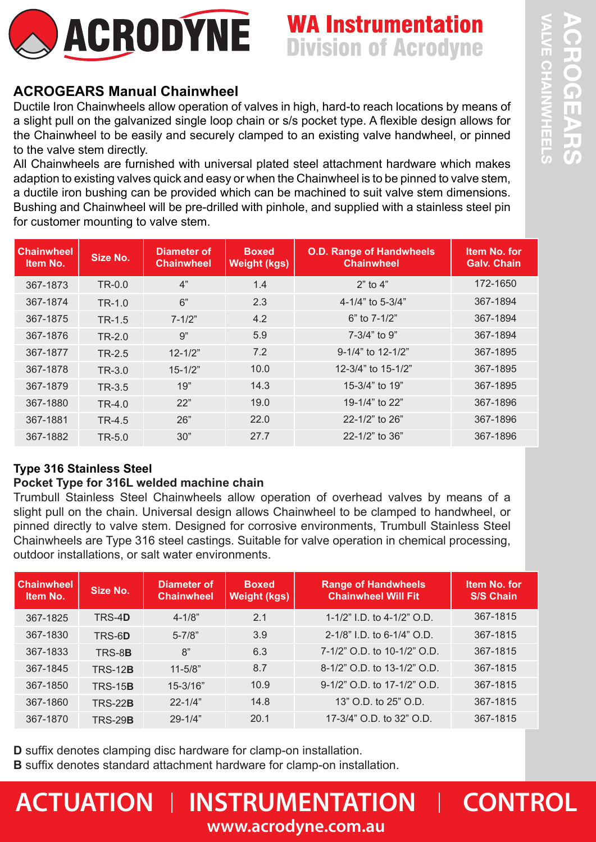

# **WA Instrumentation Division of Acrodyne**

# **ACROGEARS Manual Chainwheel**

Ductile Iron Chainwheels allow operation of valves in high, hard-to reach locations by means of a slight pull on the galvanized single loop chain or s/s pocket type. A flexible design allows for the Chainwheel to be easily and securely clamped to an existing valve handwheel, or pinned to the valve stem directly.

All Chainwheels are furnished with universal plated steel attachment hardware which makes adaption to existing valves quick and easy or when the Chainwheel is to be pinned to valve stem, a ductile iron bushing can be provided which can be machined to suit valve stem dimensions. Bushing and Chainwheel will be pre-drilled with pinhole, and supplied with a stainless steel pin for customer mounting to valve stem.

| <b>Chainwheel</b><br><b>Item No.</b> | Size No. | Diameter of<br><b>Chainwheel</b> | <b>Boxed</b><br><b>Weight (kgs)</b> | <b>O.D. Range of Handwheels</b><br><b>Chainwheel</b> | Item No. for<br><b>Galv. Chain</b> |
|--------------------------------------|----------|----------------------------------|-------------------------------------|------------------------------------------------------|------------------------------------|
| 367-1873                             | TR-0.0   | 4"                               | 1.4                                 | $2"$ to $4"$                                         | 172-1650                           |
| 367-1874                             | $TR-1.0$ | 6"                               | 2.3                                 | 4-1/4" to 5-3/4"                                     | 367-1894                           |
| 367-1875                             | $TR-1.5$ | $7 - 1/2"$                       | 4.2                                 | $6"$ to $7-1/2"$                                     | 367-1894                           |
| 367-1876                             | $TR-2.0$ | 9"                               | 5.9                                 | $7 - 3/4"$ to 9"                                     | 367-1894                           |
| 367-1877                             | TR-2.5   | $12 - 1/2"$                      | 7.2                                 | 9-1/4" to 12-1/2"                                    | 367-1895                           |
| 367-1878                             | TR-3.0   | $15 - 1/2"$                      | 10.0                                | 12-3/4" to 15-1/2"                                   | 367-1895                           |
| 367-1879                             | TR-3.5   | 19"                              | 14.3                                | 15-3/4" to 19"                                       | 367-1895                           |
| 367-1880                             | $TR-4.0$ | 22"                              | 19.0                                | 19-1/4" to 22"                                       | 367-1896                           |
| 367-1881                             | TR-4.5   | 26"                              | 22.0                                | 22-1/2" to 26"                                       | 367-1896                           |
| 367-1882                             | $TR-5.0$ | 30"                              | 27.7                                | 22-1/2" to 36"                                       | 367-1896                           |

## **Type 316 Stainless Steel**

## **Pocket Type for 316L welded machine chain**

Trumbull Stainless Steel Chainwheels allow operation of overhead valves by means of a slight pull on the chain. Universal design allows Chainwheel to be clamped to handwheel, or pinned directly to valve stem. Designed for corrosive environments, Trumbull Stainless Steel Chainwheels are Type 316 steel castings. Suitable for valve operation in chemical processing, outdoor installations, or salt water environments.

| <b>Chainwheel</b><br>Item No. | Size No.       | Diameter of<br><b>Chainwheel</b> | <b>Boxed</b><br>Weight (kgs) | <b>Range of Handwheels</b><br><b>Chainwheel Will Fit</b> | Item No. for<br><b>S/S Chain</b> |
|-------------------------------|----------------|----------------------------------|------------------------------|----------------------------------------------------------|----------------------------------|
| 367-1825                      | TRS-4D         | $4 - 1/8"$                       | 2.1                          | 1-1/2" I.D. to 4-1/2" O.D.                               | 367-1815                         |
| 367-1830                      | TRS-6D         | $5 - 7/8"$                       | 3.9                          | 2-1/8" I.D. to 6-1/4" O.D.                               | 367-1815                         |
| 367-1833                      | TRS-8B         | 8"                               | 6.3                          | 7-1/2" O.D. to 10-1/2" O.D.                              | 367-1815                         |
| 367-1845                      | <b>TRS-12B</b> | $11 - 5/8"$                      | 8.7                          | 8-1/2" O.D. to 13-1/2" O.D.                              | 367-1815                         |
| 367-1850                      | <b>TRS-15B</b> | $15 - 3/16"$                     | 10.9                         | 9-1/2" O.D. to 17-1/2" O.D.                              | 367-1815                         |
| 367-1860                      | <b>TRS-22B</b> | $22 - 1/4"$                      | 14.8                         | 13" O.D. to 25" O.D.                                     | 367-1815                         |
| 367-1870                      | <b>TRS-29B</b> | $29 - 1/4"$                      | 20.1                         | 17-3/4" O.D. to 32" O.D.                                 | 367-1815                         |

**D** suffix denotes clamping disc hardware for clamp-on installation.

**B** suffix denotes standard attachment hardware for clamp-on installation.

# $\blacksquare$  **ACTUATION I** INSTRUMENTATION **I** CONTROL **www.acrodyne.com.au**